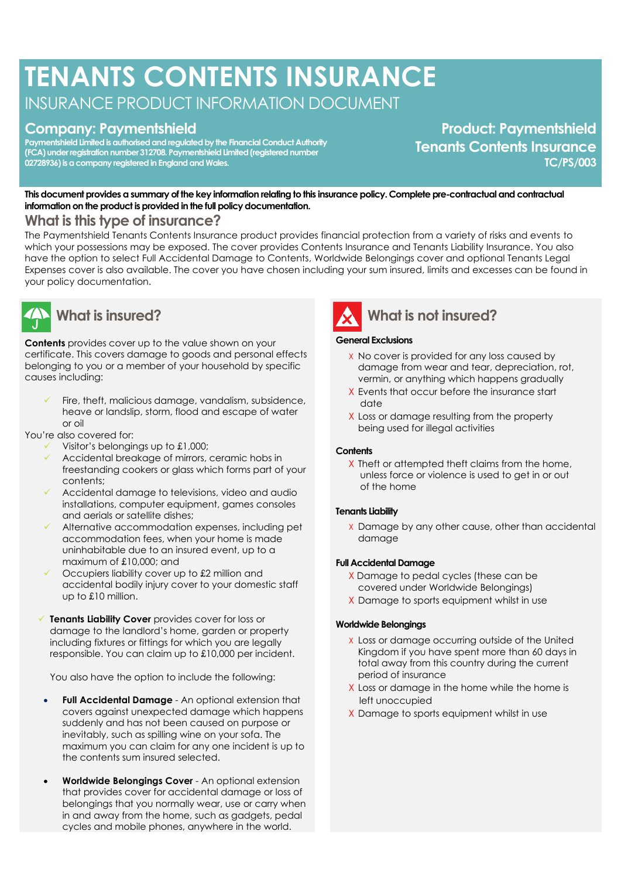# **TENANTS CONTENTS INSURANCE**

INSURANCE PRODUCT INFORMATION DOCUMENT

# **Company: Paymentshield**

**Paymentshield Limited is authorised and regulated by the Financial Conduct Authority (FCA) under registration number 312708. Paymentshield Limited (registered number 02728936) is a company registered in England and Wales.**

**Product: Paymentshield Tenants Contents Insurance TC/PS/003**

**This document provides a summary of the key information relating to this insurance policy. Complete pre-contractual and contractual information on the product is provided in the full policy documentation.**

# **What is this type of insurance?**

The Paymentshield Tenants Contents Insurance product provides financial protection from a variety of risks and events to which your possessions may be exposed. The cover provides Contents Insurance and Tenants Liability Insurance. You also have the option to select Full Accidental Damage to Contents, Worldwide Belongings cover and optional Tenants Legal Expenses cover is also available. The cover you have chosen including your sum insured, limits and excesses can be found in your policy documentation.



# **What is insured?**

**Contents** provides cover up to the value shown on your certificate. This covers damage to goods and personal effects belonging to you or a member of your household by specific causes including:

Fire, theft, malicious damage, vandalism, subsidence, heave or landslip, storm, flood and escape of water  $\alpha$ r  $\alpha$ il

You're also covered for:

- ✓ Visitor's belongings up to £1,000;
- Accidental breakage of mirrors, ceramic hobs in freestanding cookers or glass which forms part of your contents;
- Accidental damage to televisions, video and audio installations, computer equipment, games consoles and aerials or satellite dishes;
- Alternative accommodation expenses, including pet accommodation fees, when your home is made uninhabitable due to an insured event, up to a maximum of £10,000; and
- Occupiers liability cover up to £2 million and accidental bodily injury cover to your domestic staff up to £10 million.
- ✓ **Tenants Liability Cover** provides cover for loss or damage to the landlord's home, garden or property including fixtures or fittings for which you are legally responsible. You can claim up to £10,000 per incident.

You also have the option to include the following:

- **Full Accidental Damage** An optional extension that covers against unexpected damage which happens suddenly and has not been caused on purpose or inevitably, such as spilling wine on your sofa. The maximum you can claim for any one incident is up to the contents sum insured selected.
- **Worldwide Belongings Cover** An optional extension that provides cover for accidental damage or loss of belongings that you normally wear, use or carry when in and away from the home, such as gadgets, pedal cycles and mobile phones, anywhere in the world.



#### **General Exclusions**

- X No cover is provided for any loss caused by damage from wear and tear, depreciation, rot, vermin, or anything which happens gradually
- X Events that occur before the insurance start date
- X Loss or damage resulting from the property being used for illegal activities

#### **Contents**

X Theft or attempted theft claims from the home, unless force or violence is used to get in or out of the home

#### **Tenants Liability**

X Damage by any other cause, other than accidental damage

#### **Full Accidental Damage**

- X Damage to pedal cycles (these can be covered under Worldwide Belongings)
- X Damage to sports equipment whilst in use

#### **Worldwide Belongings**

- X Loss or damage occurring outside of the United Kingdom if you have spent more than 60 days in total away from this country during the current period of insurance
- X Loss or damage in the home while the home is left unoccupied
- X Damage to sports equipment whilst in use